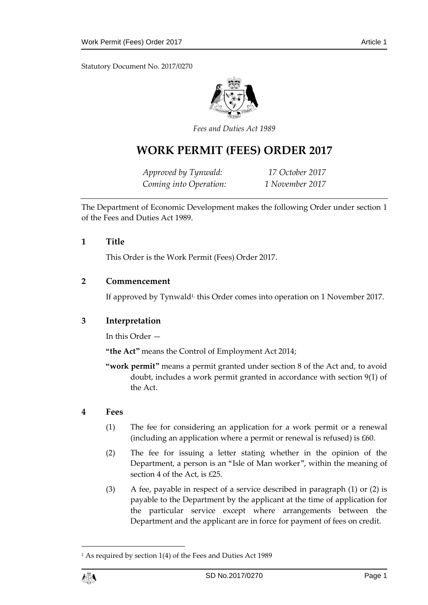Statutory Document No. 2017/0270



*Fees and Duties Act 1989*

# **WORK PERMIT (FEES) ORDER 2017**

*Approved by Tynwald: 17 October 2017 Coming into Operation: 1 November 2017*

The Department of Economic Development makes the following Order under section 1 of the Fees and Duties Act 1989.

### **1 Title**

This Order is the Work Permit (Fees) Order 2017.

### **2 Commencement**

If approved by Tynwald<sup>1,</sup> this Order comes into operation on 1 November 2017.

# **3 Interpretation**

In this Order —

**"the Act"** means the Control of Employment Act 2014;

**"work permit"** means a permit granted under section 8 of the Act and, to avoid doubt, includes a work permit granted in accordance with section 9(1) of the Act.

#### **4 Fees**

- (1) The fee for considering an application for a work permit or a renewal (including an application where a permit or renewal is refused) is £60.
- (2) The fee for issuing a letter stating whether in the opinion of the Department, a person is an "Isle of Man worker", within the meaning of section 4 of the Act, is £25.
- (3) A fee, payable in respect of a service described in paragraph (1) or (2) is payable to the Department by the applicant at the time of application for the particular service except where arrangements between the Department and the applicant are in force for payment of fees on credit.

<sup>&</sup>lt;sup>1</sup> As required by section 1(4) of the Fees and Duties Act 1989



1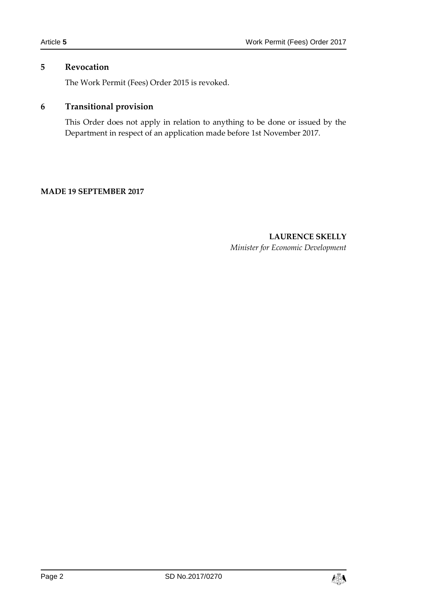# **5 Revocation**

The Work Permit (Fees) Order 2015 is revoked.

# **6 Transitional provision**

This Order does not apply in relation to anything to be done or issued by the Department in respect of an application made before 1st November 2017.

### **MADE 19 SEPTEMBER 2017**

**LAURENCE SKELLY** *Minister for Economic Development*